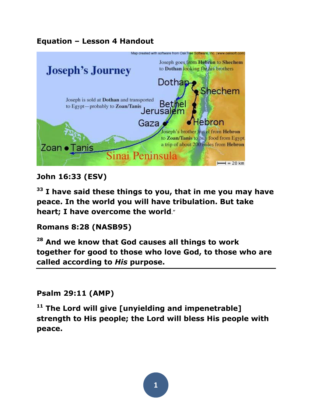### **Equation – Lesson 4 Handout**



## **John 16:33 (ESV)**

**<sup>33</sup> I have said these things to you, that in me you may have peace. In the world you will have tribulation. But take heart; I have overcome the world**."

#### **Romans 8:28 (NASB95)**

**<sup>28</sup> And we know that God causes all things to work together for good to those who love God, to those who are called according to** *His* **purpose.**

#### **Psalm 29:11 (AMP)**

**<sup>11</sup> The Lord will give [unyielding and impenetrable] strength to His people; the Lord will bless His people with peace.**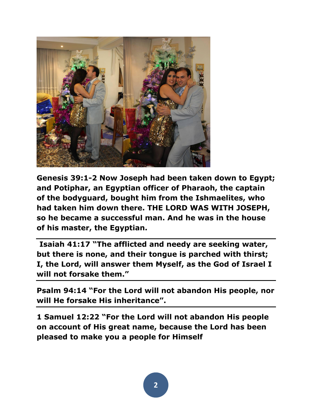

**Genesis 39:1-2 Now Joseph had been taken down to Egypt; and Potiphar, an Egyptian officer of Pharaoh, the captain of the bodyguard, bought him from the Ishmaelites, who had taken him down there. THE LORD WAS WITH JOSEPH, so he became a successful man. And he was in the house of his master, the Egyptian.**

**Isaiah 41:17 "The afflicted and needy are seeking water, but there is none, and their tongue is parched with thirst; I, the Lord, will answer them Myself, as the God of Israel I will not forsake them."**

**Psalm 94:14 "For the Lord will not abandon His people, nor will He forsake His inheritance".**

**1 Samuel 12:22 "For the Lord will not abandon His people on account of His great name, because the Lord has been pleased to make you a people for Himself**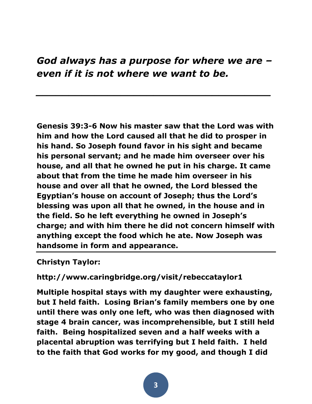# *God always has a purpose for where we are – even if it is not where we want to be.*

*\_\_\_\_\_\_\_\_\_\_\_\_\_\_\_\_\_\_\_\_\_\_\_\_\_\_\_\_\_\_\_\_\_\_\_\_*

**Genesis 39:3-6 Now his master saw that the Lord was with him and how the Lord caused all that he did to prosper in his hand. So Joseph found favor in his sight and became his personal servant; and he made him overseer over his house, and all that he owned he put in his charge. It came about that from the time he made him overseer in his house and over all that he owned, the Lord blessed the Egyptian's house on account of Joseph; thus the Lord's blessing was upon all that he owned, in the house and in the field. So he left everything he owned in Joseph's charge; and with him there he did not concern himself with anything except the food which he ate. Now Joseph was handsome in form and appearance.**

**Christyn Taylor:**

**http://www.caringbridge.org/visit/rebeccataylor1**

**Multiple hospital stays with my daughter were exhausting, but I held faith. Losing Brian's family members one by one until there was only one left, who was then diagnosed with stage 4 brain cancer, was incomprehensible, but I still held faith. Being hospitalized seven and a half weeks with a placental abruption was terrifying but I held faith. I held to the faith that God works for my good, and though I did**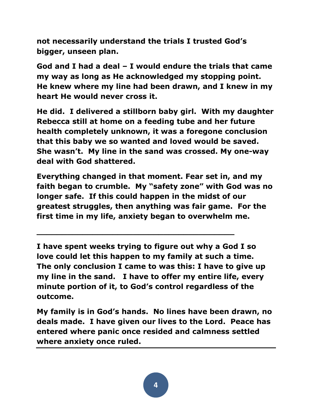**not necessarily understand the trials I trusted God's bigger, unseen plan.**

**God and I had a deal – I would endure the trials that came my way as long as He acknowledged my stopping point. He knew where my line had been drawn, and I knew in my heart He would never cross it.**

**He did. I delivered a stillborn baby girl. With my daughter Rebecca still at home on a feeding tube and her future health completely unknown, it was a foregone conclusion that this baby we so wanted and loved would be saved. She wasn't. My line in the sand was crossed. My one-way deal with God shattered.**

**Everything changed in that moment. Fear set in, and my faith began to crumble. My "safety zone" with God was no longer safe. If this could happen in the midst of our greatest struggles, then anything was fair game. For the first time in my life, anxiety began to overwhelm me.**

**I have spent weeks trying to figure out why a God I so love could let this happen to my family at such a time. The only conclusion I came to was this: I have to give up my line in the sand. I have to offer my entire life, every minute portion of it, to God's control regardless of the outcome.**

**\_\_\_\_\_\_\_\_\_\_\_\_\_\_\_\_\_\_\_\_\_\_\_\_\_\_\_\_\_\_\_\_\_\_\_\_\_\_\_**

**My family is in God's hands. No lines have been drawn, no deals made. I have given our lives to the Lord. Peace has entered where panic once resided and calmness settled where anxiety once ruled.**